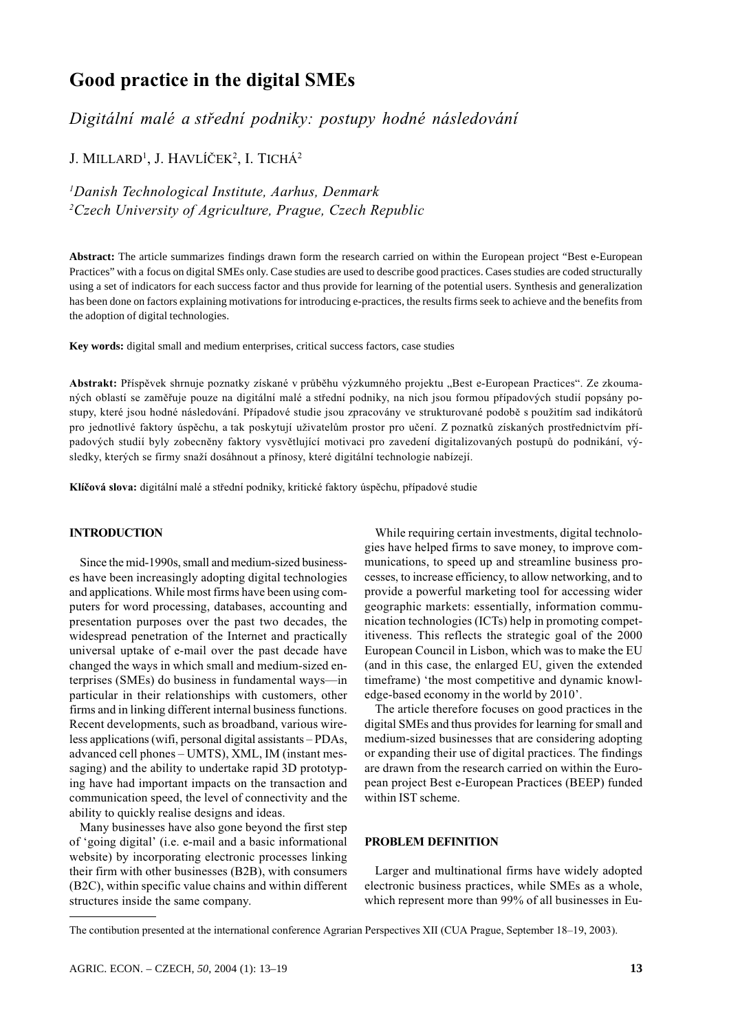# Good practice in the digital SMEs

Digitální malé a střední podniky: postupy hodné následování

## J. MILLARD<sup>1</sup>, J. HAVLÍČEK<sup>2</sup>, I. TICHÁ<sup>2</sup>

<sup>1</sup>Danish Technological Institute, Aarhus, Denmark <sup>2</sup>Czech University of Agriculture, Prague, Czech Republic

Abstract: The article summarizes findings drawn form the research carried on within the European project "Best e-European Practices" with a focus on digital SMEs only. Case studies are used to describe good practices. Cases studies are coded structurally using a set of indicators for each success factor and thus provide for learning of the potential users. Synthesis and generalization has been done on factors explaining motivations for introducing e-practices, the results firms seek to achieve and the benefits from the adoption of digital technologies.

Key words: digital small and medium enterprises, critical success factors, case studies

Abstrakt: Příspěvek shrnuje poznatky získané v průběhu výzkumného projektu "Best e-European Practices". Ze zkoumaných oblastí se zaměřuje pouze na digitální malé a střední podniky, na nich jsou formou případových studií popsány postupy, které jsou hodné následování. Případové studie jsou zpracovány ve strukturované podobě s použitím sad indikátorů pro jednotlivé faktory úspěchu, a tak poskytují uživatelům prostor pro učení. Z poznatků získaných prostřednictvím případových studií byly zobecněny faktory vysvětlující motivaci pro zavedení digitalizovaných postupů do podnikání, výsledky, kterých se firmy snaží dosáhnout a přínosy, které digitální technologie nabízejí.

Klíčová slova: digitální malé a střední podniky, kritické faktory úspěchu, případové studie

## **INTRODUCTION**

Since the mid-1990s, small and medium-sized businesses have been increasingly adopting digital technologies and applications. While most firms have been using computers for word processing, databases, accounting and presentation purposes over the past two decades, the widespread penetration of the Internet and practically universal uptake of e-mail over the past decade have changed the ways in which small and medium-sized enterprises (SMEs) do business in fundamental ways—in particular in their relationships with customers, other firms and in linking different internal business functions. Recent developments, such as broadband, various wireless applications (wifi, personal digital assistants - PDAs, advanced cell phones - UMTS), XML, IM (instant messaging) and the ability to undertake rapid 3D prototyping have had important impacts on the transaction and communication speed, the level of connectivity and the ability to quickly realise designs and ideas.

Many businesses have also gone beyond the first step of 'going digital' (i.e. e-mail and a basic informational website) by incorporating electronic processes linking their firm with other businesses (B2B), with consumers (B2C), within specific value chains and within different structures inside the same company.

While requiring certain investments, digital technologies have helped firms to save money, to improve communications, to speed up and streamline business processes, to increase efficiency, to allow networking, and to provide a powerful marketing tool for accessing wider geographic markets: essentially, information communication technologies (ICTs) help in promoting competitiveness. This reflects the strategic goal of the 2000 European Council in Lisbon, which was to make the EU (and in this case, the enlarged EU, given the extended timeframe) 'the most competitive and dynamic knowledge-based economy in the world by 2010'.

The article therefore focuses on good practices in the digital SMEs and thus provides for learning for small and medium-sized businesses that are considering adopting or expanding their use of digital practices. The findings are drawn from the research carried on within the European project Best e-European Practices (BEEP) funded within IST scheme.

## PROBLEM DEFINITION

Larger and multinational firms have widely adopted electronic business practices, while SMEs as a whole, which represent more than 99% of all businesses in Eu-

The contibution presented at the international conference Agrarian Perspectives XII (CUA Prague, September 18–19, 2003).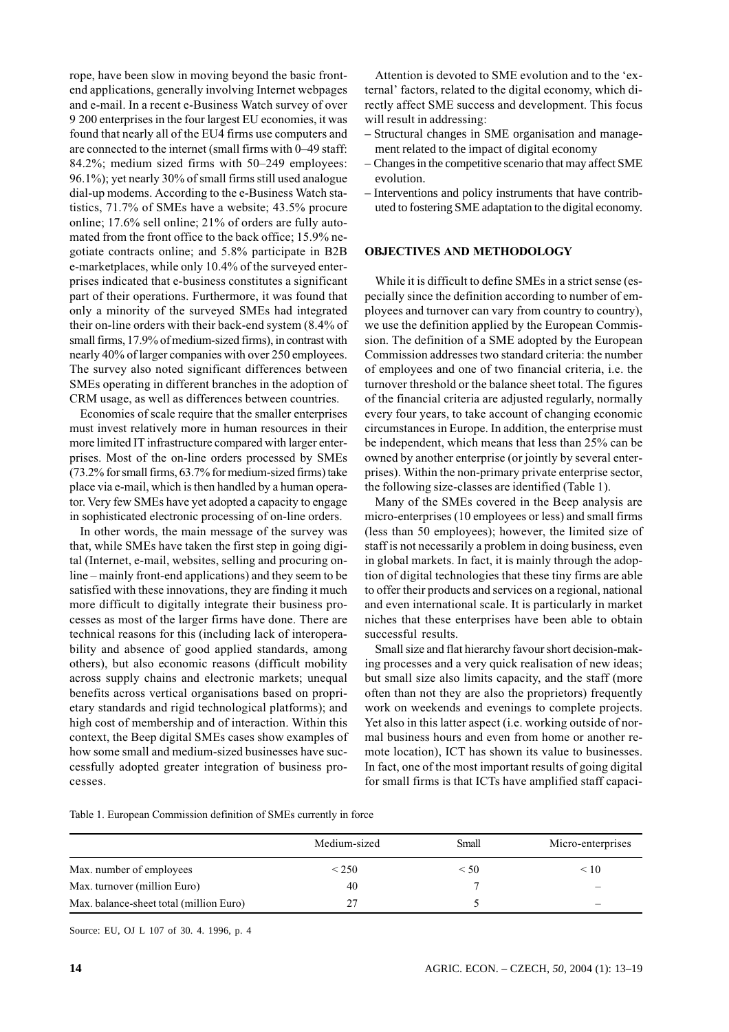rope, have been slow in moving beyond the basic frontend applications, generally involving Internet webpages and e-mail. In a recent e-Business Watch survey of over 9 200 enterprises in the four largest EU economies, it was found that nearly all of the EU4 firms use computers and are connected to the internet (small firms with 0-49 staff:  $84.2\%$ ; medium sized firms with  $50-249$  employees: 96.1%); yet nearly 30% of small firms still used analogue dial-up modems. According to the e-Business Watch statistics, 71.7% of SMEs have a website; 43.5% procure online; 17.6% sell online; 21% of orders are fully automated from the front office to the back office; 15.9% negotiate contracts online; and 5.8% participate in B2B e-marketplaces, while only 10.4% of the surveyed enterprises indicated that e-business constitutes a significant part of their operations. Furthermore, it was found that only a minority of the surveyed SMEs had integrated their on-line orders with their back-end system (8.4% of small firms, 17.9% of medium-sized firms), in contrast with nearly 40% of larger companies with over 250 employees. The survey also noted significant differences between SMEs operating in different branches in the adoption of CRM usage, as well as differences between countries.

Economies of scale require that the smaller enterprises must invest relatively more in human resources in their more limited IT infrastructure compared with larger enterprises. Most of the on-line orders processed by SMEs (73.2% for small firms, 63.7% for medium-sized firms) take place via e-mail, which is then handled by a human operator. Very few SMEs have yet adopted a capacity to engage in sophisticated electronic processing of on-line orders.

In other words, the main message of the survey was that, while SMEs have taken the first step in going digital (Internet, e-mail, websites, selling and procuring online – mainly front-end applications) and they seem to be satisfied with these innovations, they are finding it much more difficult to digitally integrate their business processes as most of the larger firms have done. There are technical reasons for this (including lack of interoperability and absence of good applied standards, among others), but also economic reasons (difficult mobility across supply chains and electronic markets; unequal benefits across vertical organisations based on proprietary standards and rigid technological platforms); and high cost of membership and of interaction. Within this context, the Beep digital SMEs cases show examples of how some small and medium-sized businesses have successfully adopted greater integration of business processes.

Attention is devoted to SME evolution and to the 'external' factors, related to the digital economy, which directly affect SME success and development. This focus will result in addressing:

- Structural changes in SME organisation and management related to the impact of digital economy
- Changes in the competitive scenario that may affect SME evolution.
- Interventions and policy instruments that have contributed to fostering SME adaptation to the digital economy.

## OBJECTIVES AND METHODOLOGY

While it is difficult to define SMEs in a strict sense (especially since the definition according to number of employees and turnover can vary from country to country), we use the definition applied by the European Commission. The definition of a SME adopted by the European Commission addresses two standard criteria: the number of employees and one of two financial criteria, i.e. the turnover threshold or the balance sheet total. The figures of the financial criteria are adjusted regularly, normally every four years, to take account of changing economic circumstances in Europe. In addition, the enterprise must be independent, which means that less than 25% can be owned by another enterprise (or jointly by several enterprises). Within the non-primary private enterprise sector, the following size-classes are identified (Table 1).

Many of the SMEs covered in the Beep analysis are micro-enterprises (10 employees or less) and small firms (less than 50 employees); however, the limited size of staff is not necessarily a problem in doing business, even in global markets. In fact, it is mainly through the adoption of digital technologies that these tiny firms are able to offer their products and services on a regional, national and even international scale. It is particularly in market niches that these enterprises have been able to obtain successful results.

Small size and flat hierarchy favour short decision-making processes and a very quick realisation of new ideas; but small size also limits capacity, and the staff (more often than not they are also the proprietors) frequently work on weekends and evenings to complete projects. Yet also in this latter aspect (i.e. working outside of normal business hours and even from home or another remote location), ICT has shown its value to businesses. In fact, one of the most important results of going digital for small firms is that ICTs have amplified staff capaci-

Table 1. European Commission definition of SMEs currently in force

|                                         | Medium-sized | Small | Micro-enterprises |
|-----------------------------------------|--------------|-------|-------------------|
| Max. number of employees                | < 250        | < 50  | < 10              |
| Max. turnover (million Euro)            | 40           |       |                   |
| Max. balance-sheet total (million Euro) |              |       |                   |

Source: EU, OJ L 107 of 30. 4. 1996, p. 4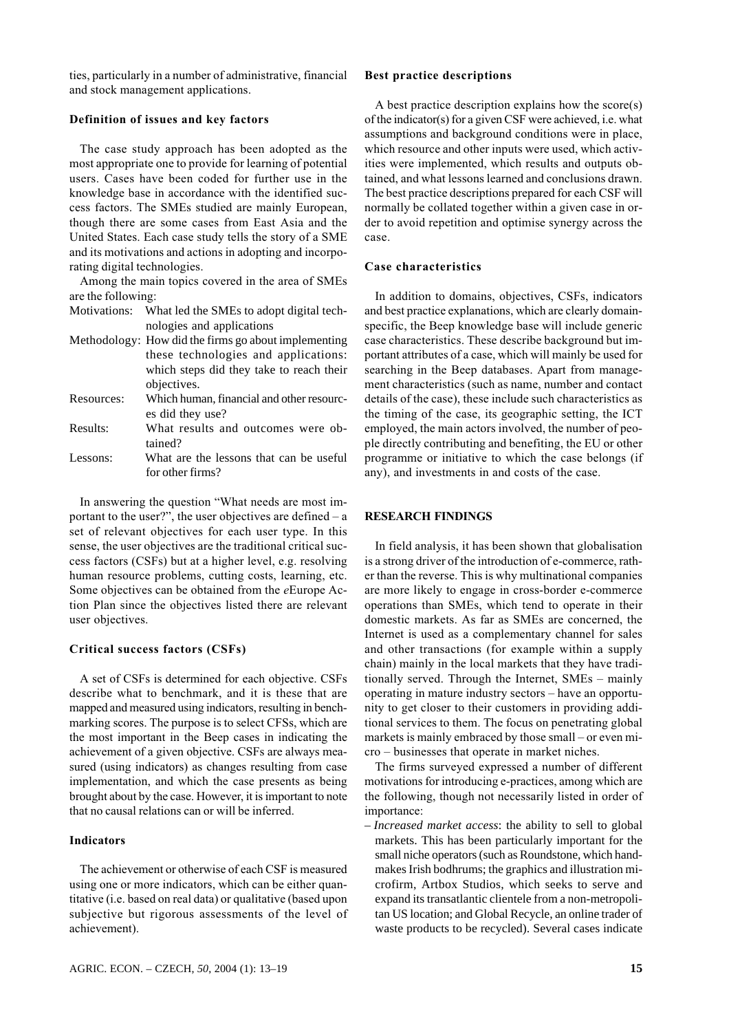ties, particularly in a number of administrative, financial and stock management applications.

### Definition of issues and key factors

The case study approach has been adopted as the most appropriate one to provide for learning of potential users. Cases have been coded for further use in the knowledge base in accordance with the identified success factors. The SMEs studied are mainly European, though there are some cases from East Asia and the United States. Each case study tells the story of a SME and its motivations and actions in adopting and incorporating digital technologies.

Among the main topics covered in the area of SMEs are the following:

Motivations: What led the SMEs to adopt digital technologies and applications

- Methodology: How did the firms go about implementing these technologies and applications: which steps did they take to reach their objectives.
- Resources: Which human, financial and other resources did they use?
- What results and outcomes were ob-Results: tained?
- Lessons: What are the lessons that can be useful for other firms?

In answering the question "What needs are most important to the user?", the user objectives are defined  $-$  a set of relevant objectives for each user type. In this sense, the user objectives are the traditional critical success factors (CSFs) but at a higher level, e.g. resolving human resource problems, cutting costs, learning, etc. Some objectives can be obtained from the eEurope Action Plan since the objectives listed there are relevant user objectives.

#### Critical success factors (CSFs)

A set of CSFs is determined for each objective. CSFs describe what to benchmark, and it is these that are mapped and measured using indicators, resulting in benchmarking scores. The purpose is to select CFSs, which are the most important in the Beep cases in indicating the achievement of a given objective. CSFs are always measured (using indicators) as changes resulting from case implementation, and which the case presents as being brought about by the case. However, it is important to note that no causal relations can or will be inferred.

## **Indicators**

The achievement or otherwise of each CSF is measured using one or more indicators, which can be either quantitative (i.e. based on real data) or qualitative (based upon subjective but rigorous assessments of the level of achievement).

## **Best practice descriptions**

A best practice description explains how the score(s) of the indicator(s) for a given CSF were achieved, i.e. what assumptions and background conditions were in place. which resource and other inputs were used, which activities were implemented, which results and outputs obtained, and what lessons learned and conclusions drawn. The best practice descriptions prepared for each CSF will normally be collated together within a given case in order to avoid repetition and optimise synergy across the case.

## Case characteristics

In addition to domains, objectives, CSFs, indicators and best practice explanations, which are clearly domainspecific, the Beep knowledge base will include generic case characteristics. These describe background but important attributes of a case, which will mainly be used for searching in the Beep databases. Apart from management characteristics (such as name, number and contact details of the case), these include such characteristics as the timing of the case, its geographic setting, the ICT employed, the main actors involved, the number of people directly contributing and benefiting, the EU or other programme or initiative to which the case belongs (if any), and investments in and costs of the case.

## **RESEARCH FINDINGS**

In field analysis, it has been shown that globalisation is a strong driver of the introduction of e-commerce, rather than the reverse. This is why multinational companies are more likely to engage in cross-border e-commerce operations than SMEs, which tend to operate in their domestic markets. As far as SMEs are concerned, the Internet is used as a complementary channel for sales and other transactions (for example within a supply chain) mainly in the local markets that they have traditionally served. Through the Internet, SMEs - mainly operating in mature industry sectors – have an opportunity to get closer to their customers in providing additional services to them. The focus on penetrating global markets is mainly embraced by those small – or even micro – businesses that operate in market niches.

The firms surveyed expressed a number of different motivations for introducing e-practices, among which are the following, though not necessarily listed in order of importance:

- *Increased market access*: the ability to sell to global markets. This has been particularly important for the small niche operators (such as Roundstone, which handmakes Irish bodhrums; the graphics and illustration microfirm, Artbox Studios, which seeks to serve and expand its transatlantic clientele from a non-metropolitan US location; and Global Recycle, an online trader of waste products to be recycled). Several cases indicate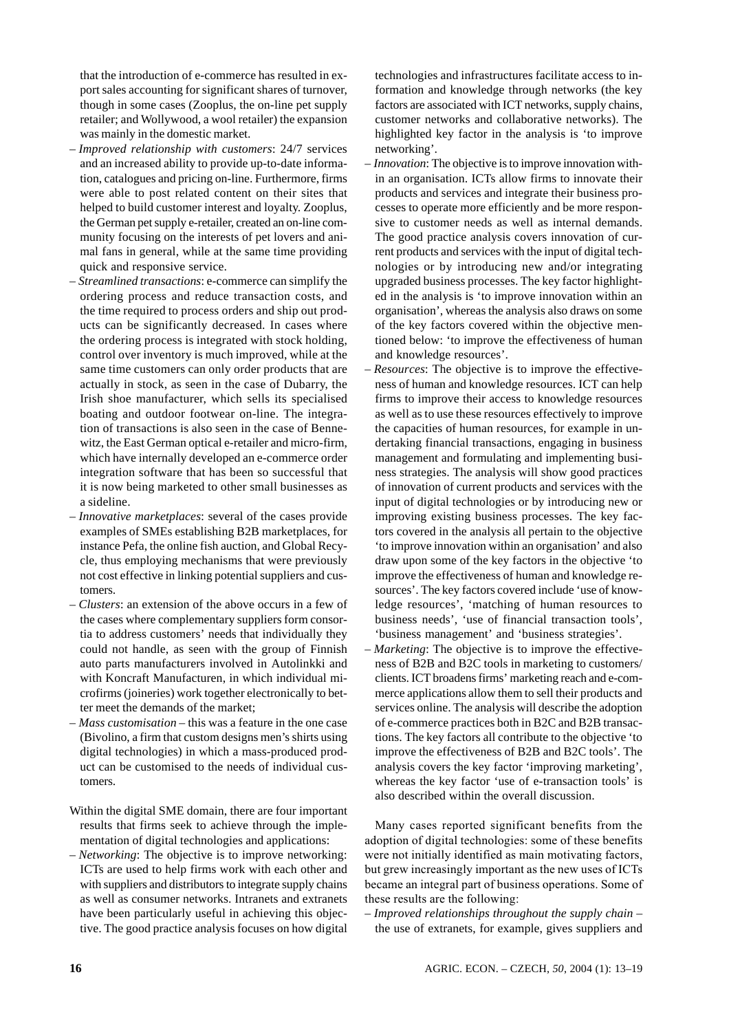that the introduction of e-commerce has resulted in export sales accounting for significant shares of turnover, though in some cases (Zooplus, the on-line pet supply retailer; and Wollywood, a wool retailer) the expansion was mainly in the domestic market.

- *Improved relationship with customers*: 24/7 services and an increased ability to provide up-to-date information, catalogues and pricing on-line. Furthermore, firms were able to post related content on their sites that helped to build customer interest and loyalty. Zooplus, the German pet supply e-retailer, created an on-line community focusing on the interests of pet lovers and animal fans in general, while at the same time providing quick and responsive service.
- *Streamlined transactions*: e-commerce can simplify the ordering process and reduce transaction costs, and the time required to process orders and ship out products can be significantly decreased. In cases where the ordering process is integrated with stock holding, control over inventory is much improved, while at the same time customers can only order products that are actually in stock, as seen in the case of Dubarry, the Irish shoe manufacturer, which sells its specialised boating and outdoor footwear on-line. The integration of transactions is also seen in the case of Bennewitz, the East German optical e-retailer and micro-firm, which have internally developed an e-commerce order integration software that has been so successful that it is now being marketed to other small businesses as a sideline.
- *Innovative marketplaces*: several of the cases provide examples of SMEs establishing B2B marketplaces, for instance Pefa, the online fish auction, and Global Recycle, thus employing mechanisms that were previously not cost effective in linking potential suppliers and customers.
- *Clusters*: an extension of the above occurs in a few of the cases where complementary suppliers form consortia to address customers' needs that individually they could not handle, as seen with the group of Finnish auto parts manufacturers involved in Autolinkki and with Koncraft Manufacturen, in which individual microfirms (joineries) work together electronically to better meet the demands of the market;
- *Mass customisation* this was a feature in the one case (Bivolino, a firm that custom designs men's shirts using digital technologies) in which a mass-produced product can be customised to the needs of individual customers.
- Within the digital SME domain, there are four important results that firms seek to achieve through the implementation of digital technologies and applications:
- *Networking*: The objective is to improve networking: ICTs are used to help firms work with each other and with suppliers and distributors to integrate supply chains as well as consumer networks. Intranets and extranets have been particularly useful in achieving this objective. The good practice analysis focuses on how digital

technologies and infrastructures facilitate access to information and knowledge through networks (the key factors are associated with ICT networks, supply chains, customer networks and collaborative networks). The highlighted key factor in the analysis is 'to improve networking'.

- *Innovation*: The objective is to improve innovation within an organisation. ICTs allow firms to innovate their products and services and integrate their business processes to operate more efficiently and be more responsive to customer needs as well as internal demands. The good practice analysis covers innovation of current products and services with the input of digital technologies or by introducing new and/or integrating upgraded business processes. The key factor highlighted in the analysis is 'to improve innovation within an organisation', whereas the analysis also draws on some of the key factors covered within the objective mentioned below: 'to improve the effectiveness of human and knowledge resources'.
- *Resources*: The objective is to improve the effectiveness of human and knowledge resources. ICT can help firms to improve their access to knowledge resources as well as to use these resources effectively to improve the capacities of human resources, for example in undertaking financial transactions, engaging in business management and formulating and implementing business strategies. The analysis will show good practices of innovation of current products and services with the input of digital technologies or by introducing new or improving existing business processes. The key factors covered in the analysis all pertain to the objective 'to improve innovation within an organisation' and also draw upon some of the key factors in the objective 'to improve the effectiveness of human and knowledge resources'. The key factors covered include 'use of knowledge resources', 'matching of human resources to business needs', 'use of financial transaction tools', 'business management' and 'business strategies'.
- *Marketing*: The objective is to improve the effectiveness of B2B and B2C tools in marketing to customers/ clients. ICT broadens firms' marketing reach and e-commerce applications allow them to sell their products and services online. The analysis will describe the adoption of e-commerce practices both in B2C and B2B transactions. The key factors all contribute to the objective 'to improve the effectiveness of B2B and B2C tools'. The analysis covers the key factor 'improving marketing', whereas the key factor 'use of e-transaction tools' is also described within the overall discussion.

Many cases reported significant benefits from the adoption of digital technologies: some of these benefits were not initially identified as main motivating factors, but grew increasingly important as the new uses of ICTs became an integral part of business operations. Some of these results are the following:

*– Improved relationships throughout the supply chain* – the use of extranets, for example, gives suppliers and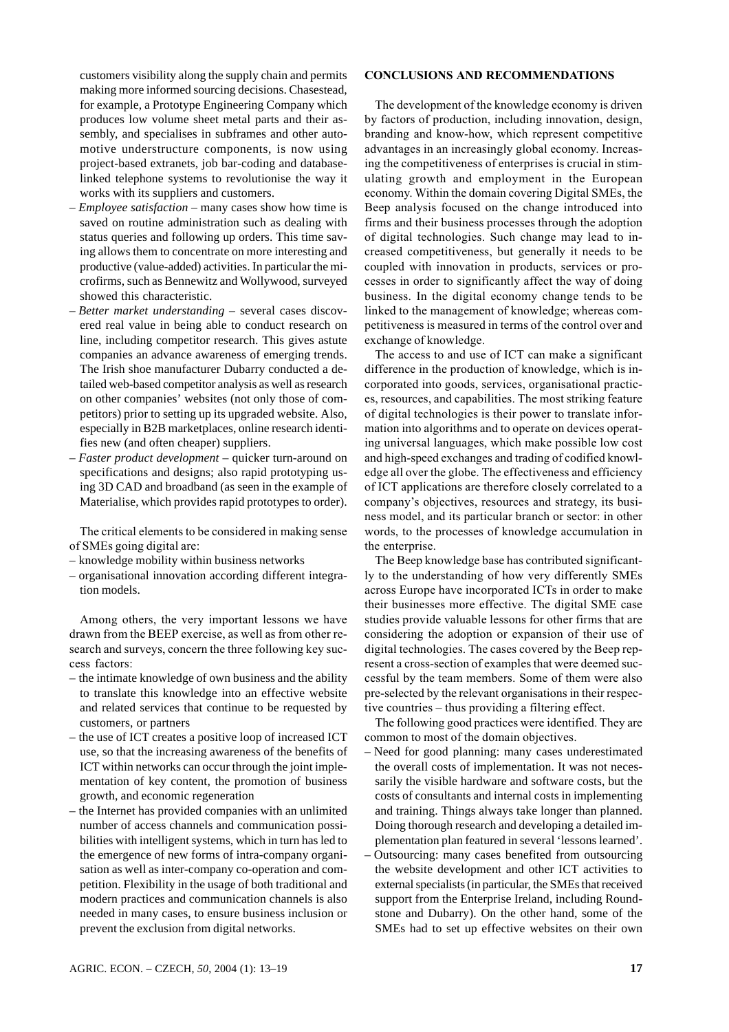customers visibility along the supply chain and permits making more informed sourcing decisions. Chasestead, for example, a Prototype Engineering Company which produces low volume sheet metal parts and their assembly, and specialises in subframes and other automotive understructure components, is now using project-based extranets, job bar-coding and databaselinked telephone systems to revolutionise the way it works with its suppliers and customers.

- *Employee satisfaction* many cases show how time is saved on routine administration such as dealing with status queries and following up orders. This time saving allows them to concentrate on more interesting and productive (value-added) activities. In particular the microfirms, such as Bennewitz and Wollywood, surveyed showed this characteristic.
- *Better market understanding* several cases discovered real value in being able to conduct research on line, including competitor research. This gives astute companies an advance awareness of emerging trends. The Irish shoe manufacturer Dubarry conducted a detailed web-based competitor analysis as well as research on other companies' websites (not only those of competitors) prior to setting up its upgraded website. Also, especially in B2B marketplaces, online research identifies new (and often cheaper) suppliers.
- *Faster product development* quicker turn-around on specifications and designs; also rapid prototyping using 3D CAD and broadband (as seen in the example of Materialise, which provides rapid prototypes to order).

The critical elements to be considered in making sense of SMEs going digital are:

- knowledge mobility within business networks
- organisational innovation according different integration models.

Among others, the very important lessons we have drawn from the BEEP exercise, as well as from other research and surveys, concern the three following key success factors:

- the intimate knowledge of own business and the ability to translate this knowledge into an effective website and related services that continue to be requested by customers, or partners
- the use of ICT creates a positive loop of increased ICT use, so that the increasing awareness of the benefits of ICT within networks can occur through the joint implementation of key content, the promotion of business growth, and economic regeneration
- the Internet has provided companies with an unlimited number of access channels and communication possibilities with intelligent systems, which in turn has led to the emergence of new forms of intra-company organisation as well as inter-company co-operation and competition. Flexibility in the usage of both traditional and modern practices and communication channels is also needed in many cases, to ensure business inclusion or prevent the exclusion from digital networks.

#### CONCLUSIONS AND RECOMMENDATIONS

The development of the knowledge economy is driven by factors of production, including innovation, design, branding and know-how, which represent competitive advantages in an increasingly global economy. Increasing the competitiveness of enterprises is crucial in stimulating growth and employment in the European economy. Within the domain covering Digital SMEs, the Beep analysis focused on the change introduced into firms and their business processes through the adoption of digital technologies. Such change may lead to increased competitiveness, but generally it needs to be coupled with innovation in products, services or processes in order to significantly affect the way of doing business. In the digital economy change tends to be linked to the management of knowledge; whereas competitiveness is measured in terms of the control over and exchange of knowledge.

The access to and use of ICT can make a significant difference in the production of knowledge, which is incorporated into goods, services, organisational practices, resources, and capabilities. The most striking feature of digital technologies is their power to translate information into algorithms and to operate on devices operating universal languages, which make possible low cost and high-speed exchanges and trading of codified knowledge all over the globe. The effectiveness and efficiency of ICT applications are therefore closely correlated to a company's objectives, resources and strategy, its business model, and its particular branch or sector: in other words, to the processes of knowledge accumulation in the enterprise.

The Beep knowledge base has contributed significantly to the understanding of how very differently SMEs across Europe have incorporated ICTs in order to make their businesses more effective. The digital SME case studies provide valuable lessons for other firms that are considering the adoption or expansion of their use of digital technologies. The cases covered by the Beep represent a cross-section of examples that were deemed successful by the team members. Some of them were also pre-selected by the relevant organisations in their respective countries - thus providing a filtering effect.

The following good practices were identified. They are common to most of the domain objectives.

- Need for good planning: many cases underestimated the overall costs of implementation. It was not necessarily the visible hardware and software costs, but the costs of consultants and internal costs in implementing and training. Things always take longer than planned. Doing thorough research and developing a detailed implementation plan featured in several 'lessons learned'.
- Outsourcing: many cases benefited from outsourcing the website development and other ICT activities to external specialists (in particular, the SMEs that received support from the Enterprise Ireland, including Roundstone and Dubarry). On the other hand, some of the SMEs had to set up effective websites on their own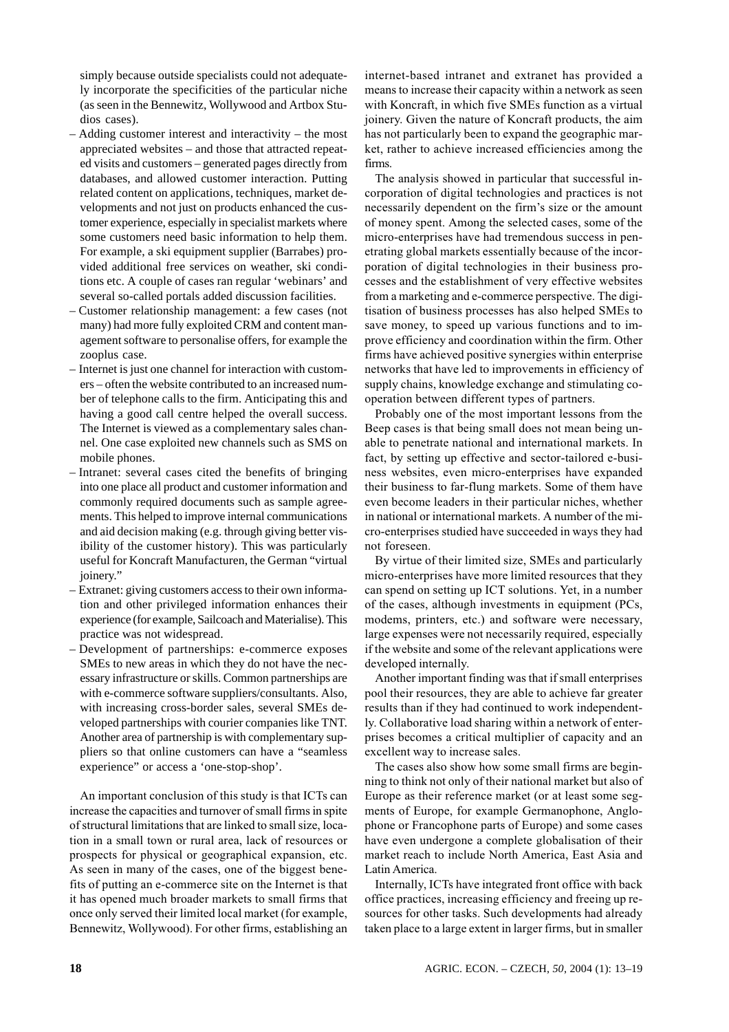simply because outside specialists could not adequately incorporate the specificities of the particular niche (as seen in the Bennewitz, Wollywood and Artbox Studios cases).

- Adding customer interest and interactivity the most appreciated websites – and those that attracted repeated visits and customers – generated pages directly from databases, and allowed customer interaction. Putting related content on applications, techniques, market developments and not just on products enhanced the customer experience, especially in specialist markets where some customers need basic information to help them. For example, a ski equipment supplier (Barrabes) provided additional free services on weather, ski conditions etc. A couple of cases ran regular 'webinars' and several so-called portals added discussion facilities.
- Customer relationship management: a few cases (not many) had more fully exploited CRM and content management software to personalise offers, for example the zooplus case.
- Internet is just one channel for interaction with customers – often the website contributed to an increased number of telephone calls to the firm. Anticipating this and having a good call centre helped the overall success. The Internet is viewed as a complementary sales channel. One case exploited new channels such as SMS on mobile phones.
- Intranet: several cases cited the benefits of bringing into one place all product and customer information and commonly required documents such as sample agreements. This helped to improve internal communications and aid decision making (e.g. through giving better visibility of the customer history). This was particularly useful for Koncraft Manufacturen, the German "virtual joinery."
- Extranet: giving customers access to their own information and other privileged information enhances their experience (for example, Sailcoach and Materialise). This practice was not widespread.
- Development of partnerships: e-commerce exposes SMEs to new areas in which they do not have the necessary infrastructure or skills. Common partnerships are with e-commerce software suppliers/consultants. Also, with increasing cross-border sales, several SMEs developed partnerships with courier companies like TNT. Another area of partnership is with complementary suppliers so that online customers can have a "seamless experience" or access a 'one-stop-shop'.

An important conclusion of this study is that ICTs can increase the capacities and turnover of small firms in spite of structural limitations that are linked to small size, location in a small town or rural area, lack of resources or prospects for physical or geographical expansion, etc. As seen in many of the cases, one of the biggest benefits of putting an e-commerce site on the Internet is that it has opened much broader markets to small firms that once only served their limited local market (for example, Bennewitz, Wollywood). For other firms, establishing an internet-based intranet and extranet has provided a means to increase their capacity within a network as seen with Koncraft, in which five SMEs function as a virtual joinery. Given the nature of Koncraft products, the aim has not particularly been to expand the geographic market, rather to achieve increased efficiencies among the firms.

The analysis showed in particular that successful incorporation of digital technologies and practices is not necessarily dependent on the firm's size or the amount of money spent. Among the selected cases, some of the micro-enterprises have had tremendous success in penetrating global markets essentially because of the incorporation of digital technologies in their business processes and the establishment of very effective websites from a marketing and e-commerce perspective. The digitisation of business processes has also helped SMEs to save money, to speed up various functions and to improve efficiency and coordination within the firm. Other firms have achieved positive synergies within enterprise networks that have led to improvements in efficiency of supply chains, knowledge exchange and stimulating cooperation between different types of partners.

Probably one of the most important lessons from the Beep cases is that being small does not mean being unable to penetrate national and international markets. In fact, by setting up effective and sector-tailored e-business websites, even micro-enterprises have expanded their business to far-flung markets. Some of them have even become leaders in their particular niches, whether in national or international markets. A number of the micro-enterprises studied have succeeded in ways they had not foreseen.

By virtue of their limited size, SMEs and particularly micro-enterprises have more limited resources that they can spend on setting up ICT solutions. Yet, in a number of the cases, although investments in equipment (PCs, modems, printers, etc.) and software were necessary, large expenses were not necessarily required, especially if the website and some of the relevant applications were developed internally.

Another important finding was that if small enterprises pool their resources, they are able to achieve far greater results than if they had continued to work independently. Collaborative load sharing within a network of enterprises becomes a critical multiplier of capacity and an excellent way to increase sales.

The cases also show how some small firms are beginning to think not only of their national market but also of Europe as their reference market (or at least some segments of Europe, for example Germanophone, Anglophone or Francophone parts of Europe) and some cases have even undergone a complete globalisation of their market reach to include North America, East Asia and Latin America.

Internally, ICTs have integrated front office with back office practices, increasing efficiency and freeing up resources for other tasks. Such developments had already taken place to a large extent in larger firms, but in smaller